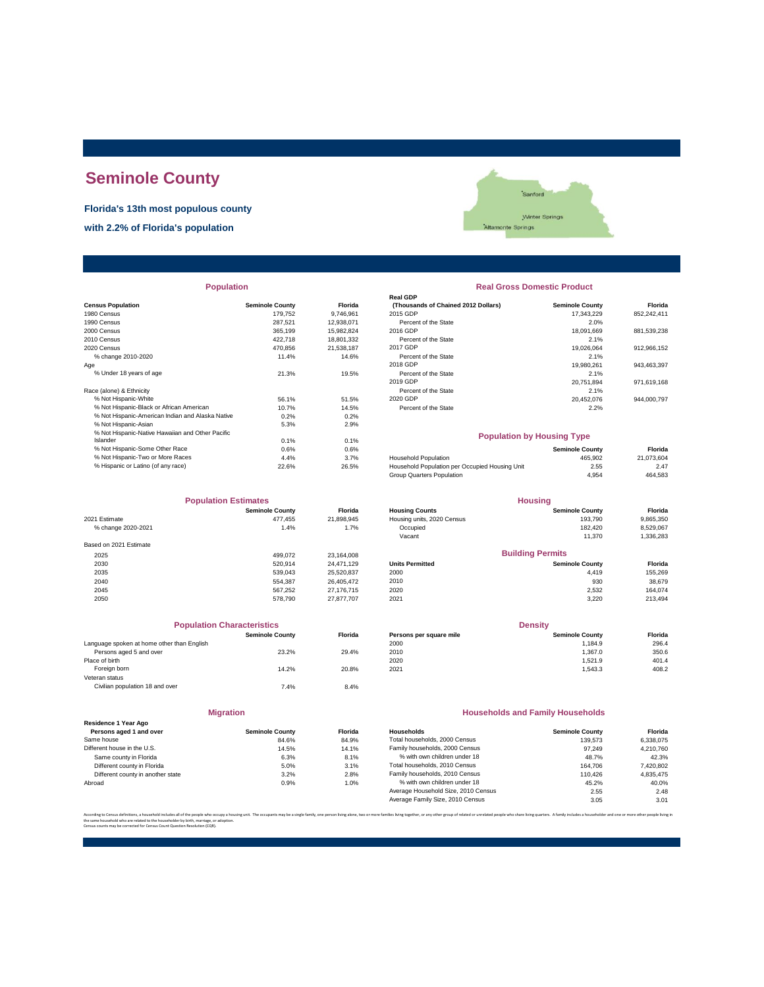# **Seminole County**

**Florida's 13th most populous county**

**with 2.2% of Florida's population**



| <b>Population</b>                                |                        |                | <b>Real Gross Domestic Product</b>             |                        |             |  |
|--------------------------------------------------|------------------------|----------------|------------------------------------------------|------------------------|-------------|--|
|                                                  |                        |                | <b>Real GDP</b>                                |                        |             |  |
| <b>Census Population</b>                         | <b>Seminole County</b> | <b>Florida</b> | (Thousands of Chained 2012 Dollars)            | <b>Seminole County</b> | Florida     |  |
| 1980 Census                                      | 179.752                | 9.746.961      | 2015 GDP                                       | 17.343.229             | 852,242,411 |  |
| 1990 Census                                      | 287,521                | 12,938,071     | Percent of the State                           | 2.0%                   |             |  |
| 2000 Census                                      | 365,199                | 15,982,824     | 2016 GDP                                       | 18.091.669             | 881,539,238 |  |
| 2010 Census                                      | 422,718                | 18,801,332     | Percent of the State                           | 2.1%                   |             |  |
| 2020 Census                                      | 470,856                | 21,538,187     | 2017 GDP                                       | 19,026,064             | 912,966,152 |  |
| % change 2010-2020                               | 11.4%                  | 14.6%          | Percent of the State                           | 2.1%                   |             |  |
| Age                                              |                        |                | 2018 GDP                                       | 19,980,261             | 943,463,397 |  |
| % Under 18 years of age                          | 21.3%                  | 19.5%          | Percent of the State                           | 2.1%                   |             |  |
|                                                  |                        |                | 2019 GDP                                       | 20.751.894             | 971,619,168 |  |
| Race (alone) & Ethnicity                         |                        |                | Percent of the State                           | 2.1%                   |             |  |
| % Not Hispanic-White                             | 56.1%                  | 51.5%          | 2020 GDP                                       | 20,452,076             | 944,000,797 |  |
| % Not Hispanic-Black or African American         | 10.7%                  | 14.5%          | Percent of the State                           | 2.2%                   |             |  |
| % Not Hispanic-American Indian and Alaska Native | 0.2%                   | 0.2%           |                                                |                        |             |  |
| % Not Hispanic-Asian                             | 5.3%                   | 2.9%           |                                                |                        |             |  |
| % Not Hispanic-Native Hawaiian and Other Pacific |                        |                | <b>Population by Housing Type</b>              |                        |             |  |
| Islander                                         | 0.1%                   | 0.1%           |                                                |                        |             |  |
| % Not Hispanic-Some Other Race                   | 0.6%                   | 0.6%           |                                                | <b>Seminole County</b> | Florida     |  |
| % Not Hispanic-Two or More Races                 | 4.4%                   | 3.7%           | <b>Household Population</b>                    | 465,902                | 21,073,604  |  |
| % Hispanic or Latino (of any race)               | 22.6%                  | 26.5%          | Household Population per Occupied Housing Unit | 2.55                   | 2.47        |  |

| <b>Population Estimates</b> |                        |            | <b>Housing</b>             |                         |           |
|-----------------------------|------------------------|------------|----------------------------|-------------------------|-----------|
|                             | <b>Seminole County</b> | Florida    | <b>Housing Counts</b>      | <b>Seminole County</b>  | Florida   |
| 2021 Estimate               | 477.455                | 21,898,945 | Housing units, 2020 Census | 193,790                 | 9,865,350 |
| % change 2020-2021          | 1.4%                   | 1.7%       | Occupied                   | 182.420                 | 8,529,067 |
|                             |                        |            | Vacant                     | 11.370                  | 1,336,283 |
| Based on 2021 Estimate      |                        |            |                            |                         |           |
| 2025                        | 499.072                | 23.164.008 |                            | <b>Building Permits</b> |           |
| 2030                        | 520.914                | 24.471.129 | <b>Units Permitted</b>     | <b>Seminole County</b>  | Florida   |
| 2035                        | 539.043                | 25,520,837 | 2000                       | 4.419                   | 155,269   |
| 2040                        | 554.387                | 26.405.472 | 2010                       | 930                     | 38,679    |
| 2045                        | 567.252                | 27.176.715 | 2020                       | 2.532                   | 164.074   |
| 2050                        | 578.790                | 27.877.707 | 2021                       | 3.220                   | 213,494   |

|                                            | <b>Population Characteristics</b> |                |
|--------------------------------------------|-----------------------------------|----------------|
|                                            | <b>Seminole County</b>            | <b>Florida</b> |
| Language spoken at home other than English |                                   |                |
| Persons aged 5 and over                    | 23.2%                             | 29.4%          |
| Place of birth                             |                                   |                |
| Foreign born                               | 14.2%                             | 20.8%          |
| Veteran status                             |                                   |                |
| Civilian population 18 and over            | 7.4%                              | 8.4%           |
|                                            |                                   |                |
|                                            |                                   |                |

| <b>Migration</b>                                |                        |               |  |  |  |  |
|-------------------------------------------------|------------------------|---------------|--|--|--|--|
| Residence 1 Year Ago<br>Persons aged 1 and over | <b>Seminole County</b> | <b>Florid</b> |  |  |  |  |
| Same house                                      | 84.6%                  | 84.9%         |  |  |  |  |
| Different house in the U.S.                     | 14.5%                  | 14.19         |  |  |  |  |
| Same county in Florida                          | 6.3%                   | 8.19          |  |  |  |  |
| Different county in Florida                     | 5.0%                   | 3.19          |  |  |  |  |
| Different county in another state               | 3.2%                   | 2.89          |  |  |  |  |
| Abroad                                          | 0.9%                   | $1.0^\circ$   |  |  |  |  |

| <b>Population</b> |                        |                |                                     | <b>Real Gross Domestic Product</b> |             |  |  |  |
|-------------------|------------------------|----------------|-------------------------------------|------------------------------------|-------------|--|--|--|
|                   |                        |                | <b>Real GDP</b>                     |                                    |             |  |  |  |
|                   | <b>Seminole County</b> | <b>Florida</b> | (Thousands of Chained 2012 Dollars) | <b>Seminole County</b>             | Florida     |  |  |  |
|                   | 179,752                | 9,746,961      | 2015 GDP                            | 17.343.229                         | 852,242,411 |  |  |  |
|                   | 287.521                | 12,938,071     | Percent of the State                | 2.0%                               |             |  |  |  |
|                   | 365,199                | 15,982,824     | 2016 GDP                            | 18,091,669                         | 881,539,238 |  |  |  |
|                   | 422,718                | 18,801,332     | Percent of the State                | 2.1%                               |             |  |  |  |
|                   | 470.856                | 21.538.187     | 2017 GDP                            | 19,026,064                         | 912,966,152 |  |  |  |
|                   | 11.4%                  | 14.6%          | Percent of the State                | 2.1%                               |             |  |  |  |
|                   |                        |                | 2018 GDP                            | 19,980,261                         | 943,463,397 |  |  |  |
|                   | 21.3%                  | 19.5%          | Percent of the State                | 2.1%                               |             |  |  |  |
|                   |                        |                | 2019 GDP                            | 20,751,894                         | 971,619,168 |  |  |  |
|                   |                        |                | Percent of the State                | 2.1%                               |             |  |  |  |
|                   | 56.1%                  | 51.5%          | 2020 GDP                            | 20.452.076                         | 944,000,797 |  |  |  |
| n.                | 10.7%                  | 14.5%          | Percent of the State                | 2.2%                               |             |  |  |  |
| ska Native        | 0.2%                   | 0.2%           |                                     |                                    |             |  |  |  |
|                   | 5.3%                   | 2.9%           |                                     |                                    |             |  |  |  |
| er Pacific        |                        |                |                                     | <b>Population by Housing Type</b>  |             |  |  |  |
|                   | 0.1%                   | 0.1%           |                                     |                                    |             |  |  |  |
|                   | 0.6%                   | 0.6%           |                                     | <b>Seminole County</b>             | Florida     |  |  |  |
|                   | $A$ $A$ $0$ /          | 270/           | <b>Household Population</b>         | <b>AGE 002</b>                     | 21.073.604  |  |  |  |

| % Not Hispanic-Two or More Races   | 4.4%  | 3.7%  | <b>Household Population</b>                    | 465.902 | 21.073.604 |
|------------------------------------|-------|-------|------------------------------------------------|---------|------------|
| % Hispanic or Latino (of any race) | 22.6% | 26.5% | Household Population per Occupied Housing Unit | 2.55    | 2.47       |
|                                    |       |       | Group Quarters Population                      | 4.954   | 464.583    |
|                                    |       |       |                                                |         |            |

| <b>Population Estimates</b> |                        |                | <b>Housing</b>             |                         |           |
|-----------------------------|------------------------|----------------|----------------------------|-------------------------|-----------|
|                             | <b>Seminole County</b> | <b>Florida</b> | <b>Housing Counts</b>      | <b>Seminole County</b>  | Florida   |
| 2021 Estimate               | 477.455                | 21.898.945     | Housing units, 2020 Census | 193.790                 | 9,865,350 |
| % change 2020-2021          | 1.4%                   | 1.7%           | Occupied                   | 182.420                 | 8.529.067 |
|                             |                        |                | Vacant                     | 11.370                  | 1,336,283 |
| Based on 2021 Estimate      |                        |                |                            |                         |           |
| 2025                        | 499.072                | 23.164.008     |                            | <b>Building Permits</b> |           |
| 2030                        | 520.914                | 24.471.129     | <b>Units Permitted</b>     | <b>Seminole County</b>  | Florida   |
| 2035                        | 539.043                | 25.520.837     | 2000                       | 4.419                   | 155.269   |
| 2040                        | 554.387                | 26,405,472     | 2010                       | 930                     | 38,679    |
|                             |                        |                |                            |                         |           |

| <b>Population Characteristics</b> |         |                         | <b>Density</b>         |                |  |
|-----------------------------------|---------|-------------------------|------------------------|----------------|--|
| <b>Seminole County</b>            | Florida | Persons per square mile | <b>Seminole County</b> | <b>Florida</b> |  |
|                                   |         | 2000                    | 1.184.9                | 296.4          |  |
| 23.2%                             | 29.4%   | 2010                    | 1.367.0                | 350.6          |  |
|                                   |         | 2020                    | 1.521.9                | 401.4          |  |
| 14.2%                             | 20.8%   | 2021                    | 1.543.3                | 408.2          |  |
|                                   |         |                         |                        |                |  |

### **Households and Family Households**

| Residence 1 Year Ago              |                        |                |                                     |                        |           |
|-----------------------------------|------------------------|----------------|-------------------------------------|------------------------|-----------|
| Persons aged 1 and over           | <b>Seminole County</b> | <b>Florida</b> | Households                          | <b>Seminole County</b> | Florida   |
| Same house                        | 84.6%                  | 84.9%          | Total households, 2000 Census       | 139.573                | 6.338.075 |
| Different house in the U.S.       | 14.5%                  | 14.1%          | Family households, 2000 Census      | 97.249                 | 4.210.760 |
| Same county in Florida            | 6.3%                   | 8.1%           | % with own children under 18        | 48.7%                  | 42.3%     |
| Different county in Florida       | 5.0%                   | 3.1%           | Total households, 2010 Census       | 164.706                | 7,420,802 |
| Different county in another state | 3.2%                   | 2.8%           | Family households, 2010 Census      | 110.426                | 4.835.475 |
| Abroad                            | 0.9%                   | 1.0%           | % with own children under 18        | 45.2%                  | 40.0%     |
|                                   |                        |                | Average Household Size, 2010 Census | 2.55                   | 2.48      |
|                                   |                        |                | Average Family Size, 2010 Census    | 3.05                   | 3.01      |
|                                   |                        |                |                                     |                        |           |

According to Census definitions, a household includes all of the people who occupy a housing unit. The occupants may be a single family, one person living back, two or more families living together, or any other group of r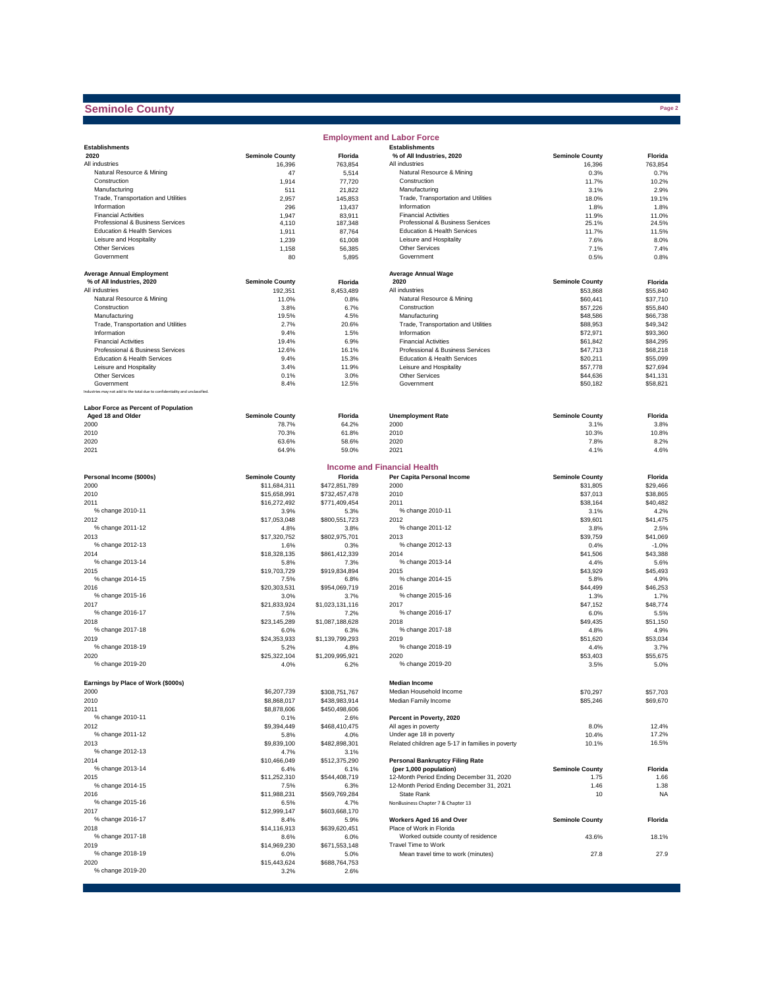## **Seminole County**

|                                                                              |                        |                 | <b>Employment and Labor Force</b>                               |                        |                      |
|------------------------------------------------------------------------------|------------------------|-----------------|-----------------------------------------------------------------|------------------------|----------------------|
| <b>Establishments</b>                                                        |                        |                 | <b>Establishments</b>                                           |                        |                      |
| 2020                                                                         | <b>Seminole County</b> | Florida         | % of All Industries, 2020                                       | <b>Seminole County</b> | Florida              |
| All industries                                                               | 16,396                 | 763,854         | All industries                                                  | 16,396                 | 763,854              |
| Natural Resource & Mining                                                    | 47                     | 5,514           | Natural Resource & Mining                                       | 0.3%                   | 0.7%                 |
| Construction                                                                 | 1,914                  | 77,720          | Construction                                                    | 11.7%                  | 10.2%                |
| Manufacturing                                                                | 511                    | 21,822          | Manufacturing                                                   | 3.1%                   | 2.9%                 |
| Trade, Transportation and Utilities                                          | 2,957                  | 145,853         | Trade, Transportation and Utilities                             | 18.0%                  | 19.1%                |
| Information                                                                  | 296                    | 13,437          | Information                                                     | 1.8%                   | 1.8%                 |
| <b>Financial Activities</b>                                                  | 1,947                  | 83,911          | <b>Financial Activities</b>                                     | 11.9%                  | 11.0%                |
| Professional & Business Services                                             | 4,110                  | 187,348         | Professional & Business Services                                | 25.1%                  | 24.5%                |
| Education & Health Services                                                  | 1,911                  | 87,764          | <b>Education &amp; Health Services</b>                          | 11.7%                  | 11.5%                |
| Leisure and Hospitality                                                      | 1,239                  | 61,008          | Leisure and Hospitality                                         | 7.6%                   | 8.0%                 |
| Other Services                                                               | 1,158                  | 56,385          | Other Services                                                  | 7.1%                   | 7.4%                 |
| Government                                                                   | 80                     | 5,895           | Government                                                      | 0.5%                   | 0.8%                 |
|                                                                              |                        |                 |                                                                 |                        |                      |
| <b>Average Annual Employment</b>                                             |                        |                 | <b>Average Annual Wage</b>                                      |                        |                      |
| % of All Industries, 2020                                                    | <b>Seminole County</b> | Florida         | 2020                                                            | <b>Seminole County</b> | Florida              |
| All industries<br>Natural Resource & Mining                                  | 192,351                | 8,453,489       | All industries<br>Natural Resource & Mining                     | \$53,868               | \$55,840             |
|                                                                              | 11.0%                  | 0.8%            |                                                                 | \$60,441               | \$37,710             |
| Construction                                                                 | 3.8%                   | 6.7%            | Construction                                                    | \$57,226               | \$55,840             |
| Manufacturing                                                                | 19.5%                  | 4.5%            | Manufacturing                                                   | \$48,586               | \$66,738             |
| Trade, Transportation and Utilities                                          | 2.7%                   | 20.6%           | Trade, Transportation and Utilities                             | \$88,953               | \$49,342             |
| Information<br><b>Financial Activities</b>                                   | 9.4%                   | 1.5%            | Information<br><b>Financial Activities</b>                      | \$72,971               | \$93,360             |
|                                                                              | 19.4%                  | 6.9%            |                                                                 | \$61,842               | \$84,295             |
| Professional & Business Services<br>Education & Health Services              | 12.6%                  | 16.1%           | Professional & Business Services<br>Education & Health Services | \$47,713               | \$68,218             |
| Leisure and Hospitality                                                      | 9.4%                   | 15.3%           |                                                                 | \$20,211               | \$55,099<br>\$27.694 |
| Other Services                                                               | 3.4%                   | 11.9%           | Leisure and Hospitality<br>Other Services                       | \$57,778               |                      |
| Government                                                                   | 0.1%                   | 3.0%            | Government                                                      | \$44,636               | \$41,131             |
| Industries may not add to the total due to confidentiality and unclassified. | 8.4%                   | 12.5%           |                                                                 | \$50,182               | \$58,821             |
|                                                                              |                        |                 |                                                                 |                        |                      |
| Labor Force as Percent of Population                                         |                        |                 |                                                                 |                        |                      |
| Aged 18 and Older                                                            | <b>Seminole County</b> | Florida         | <b>Unemployment Rate</b>                                        | <b>Seminole County</b> | Florida              |
| 2000                                                                         | 78.7%                  | 64.2%           | 2000                                                            | 3.1%                   | 3.8%                 |
| 2010                                                                         | 70.3%                  | 61.8%           | 2010                                                            | 10.3%                  | 10.8%                |
| 2020                                                                         | 63.6%                  | 58.6%           | 2020                                                            | 7.8%                   | 8.2%                 |
| 2021                                                                         | 64.9%                  | 59.0%           | 2021                                                            | 4.1%                   | 4.6%                 |
|                                                                              |                        |                 |                                                                 |                        |                      |
|                                                                              |                        |                 | <b>Income and Financial Health</b>                              |                        |                      |
| Personal Income (\$000s)                                                     | <b>Seminole County</b> | Florida         | Per Capita Personal Income                                      | <b>Seminole County</b> | Florida              |
| 2000                                                                         | \$11,684,311           | \$472,851,789   | 2000                                                            | \$31,805               | \$29,466             |
| 2010                                                                         | \$15,658,991           | \$732,457,478   | 2010                                                            | \$37,013               | \$38,865             |
| 2011                                                                         |                        | \$771,409,454   | 2011                                                            | \$38,164               | \$40,482             |
| % change 2010-11                                                             | \$16,272,492<br>3.9%   | 5.3%            | % change 2010-11                                                | 3.1%                   | 4.2%                 |
| 2012                                                                         | \$17,053,048           | \$800,551,723   | 2012                                                            | \$39,601               | \$41,475             |
| % change 2011-12                                                             | 4.8%                   | 3.8%            | % change 2011-12                                                | 3.8%                   | 2.5%                 |
| 2013                                                                         | \$17,320,752           | \$802,975,701   | 2013                                                            | \$39,759               | \$41,069             |
| % change 2012-13                                                             | 1.6%                   | 0.3%            | % change 2012-13                                                | 0.4%                   | $-1.0%$              |
| 2014                                                                         | \$18,328,135           | \$861,412,339   | 2014                                                            | \$41,506               | \$43,388             |
| % change 2013-14                                                             | 5.8%                   | 7.3%            | % change 2013-14                                                | 4.4%                   | 5.6%                 |
| 2015                                                                         | \$19,703,729           | \$919,834,894   | 2015                                                            | \$43,929               | \$45,493             |
| % change 2014-15                                                             | 7.5%                   | 6.8%            | % change 2014-15                                                | 5.8%                   | 4.9%                 |
| 2016                                                                         | \$20,303,531           | \$954,069,719   | 2016                                                            | \$44,499               | \$46,253             |
| % change 2015-16                                                             | 3.0%                   | 3.7%            | % change 2015-16                                                | 1.3%                   | 1.7%                 |
| 2017                                                                         | \$21,833,924           | \$1,023,131,116 | 2017                                                            | \$47,152               | \$48,774             |
| % change 2016-17                                                             | 7.5%                   | 7.2%            | % change 2016-17                                                | 6.0%                   | 5.5%                 |
| 2018                                                                         | \$23,145,289           | \$1,087,188,628 | 2018                                                            | \$49,435               | \$51,150             |
| % change 2017-18                                                             | 6.0%                   | 6.3%            | % change 2017-18                                                | 4.8%                   | 4.9%                 |
| 2019                                                                         | \$24,353,933           | \$1,139,799,293 | 2019                                                            | \$51,620               | \$53,034             |
| % change 2018-19                                                             | 5.2%                   | 4.8%            | % change 2018-19                                                | 4.4%                   | 3.7%                 |
| 2020                                                                         | \$25,322,104           | \$1,209,995,921 | 2020                                                            | \$53,403               | \$55,675             |
| % change 2019-20                                                             | 4.0%                   | 6.2%            | % change 2019-20                                                | 3.5%                   | 5.0%                 |
|                                                                              |                        |                 |                                                                 |                        |                      |
|                                                                              |                        |                 |                                                                 |                        |                      |
| Earnings by Place of Work (\$000s)                                           |                        |                 | <b>Median Income</b>                                            |                        |                      |
| 2000                                                                         | \$6,207,739            | \$308,751,767   | Median Household Income                                         | \$70,297               | \$57,703             |
| 2010                                                                         | \$8,868,017            | \$438,983,914   | Median Family Income                                            | \$85,246               | \$69,670             |
| 2011                                                                         | \$8,878,606            | \$450,498,606   |                                                                 |                        |                      |
| % change 2010-11                                                             | 0.1%                   | 2.6%            | Percent in Poverty, 2020                                        |                        |                      |
| 2012                                                                         | \$9,394,449            | \$468,410,475   | All ages in poverty                                             | 8.0%                   | 12.4%                |
| % change 2011-12                                                             | 5.8%                   | 4.0%            | Under age 18 in poverty                                         | 10.4%                  | 17.2%                |
| 2013                                                                         | \$9,839,100            | \$482,898,301   | Related children age 5-17 in families in poverty                | 10.1%                  | 16.5%                |
| % change 2012-13                                                             | 4.7%                   | 3.1%            |                                                                 |                        |                      |
| 2014                                                                         | \$10,466,049           | \$512,375,290   | <b>Personal Bankruptcy Filing Rate</b>                          |                        |                      |
| % change 2013-14                                                             | 6.4%                   | 6.1%            | (per 1,000 population)                                          | <b>Seminole County</b> | Florida              |
| 2015                                                                         | \$11,252,310           | \$544,408,719   | 12-Month Period Ending December 31, 2020                        | 1.75                   | 1.66                 |
| % change 2014-15                                                             | 7.5%                   | 6.3%            | 12-Month Period Ending December 31, 2021                        | 1.46                   | 1.38                 |
| 2016                                                                         | \$11,988,231           | \$569,769,284   | <b>State Rank</b>                                               | 10                     | NA                   |
| % change 2015-16                                                             | 6.5%                   | 4.7%            | NonBusiness Chapter 7 & Chapter 13                              |                        |                      |
| 2017                                                                         | \$12,999,147           | \$603,668,170   |                                                                 |                        |                      |
| % change 2016-17                                                             | 8.4%                   | 5.9%            | Workers Aged 16 and Over                                        | <b>Seminole County</b> | Florida              |
| 2018                                                                         | \$14,116,913           | \$639,620,451   | Place of Work in Florida                                        |                        |                      |
| % change 2017-18                                                             | 8.6%                   | 6.0%            | Worked outside county of residence                              | 43.6%                  | 18.1%                |
| 2019                                                                         | \$14,969,230           | \$671,553,148   | Travel Time to Work                                             |                        |                      |
| % change 2018-19                                                             | 6.0%                   | 5.0%            | Mean travel time to work (minutes)                              | 27.8                   | 27.9                 |
| 2020                                                                         | \$15,443,624           | \$688,764,753   |                                                                 |                        |                      |
| % change 2019-20                                                             | 3.2%                   | 2.6%            |                                                                 |                        |                      |